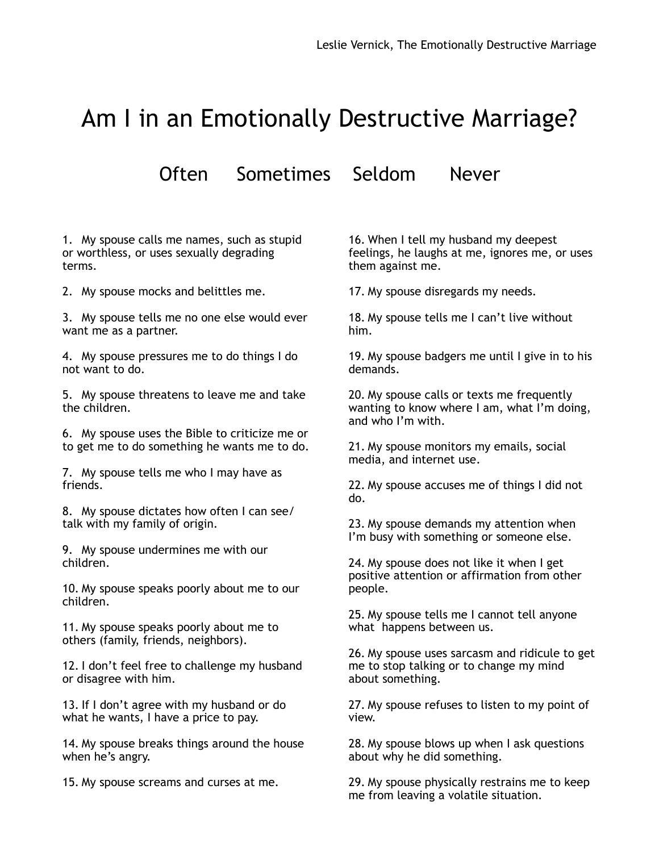## Am I in an Emotionally Destructive Marriage?

Often Sometimes Seldom Never

1. My spouse calls me names, such as stupid or worthless, or uses sexually degrading terms.

2. My spouse mocks and belittles me.

3. My spouse tells me no one else would ever want me as a partner.

4. My spouse pressures me to do things I do not want to do.

5. My spouse threatens to leave me and take the children.

6. My spouse uses the Bible to criticize me or to get me to do something he wants me to do.

7. My spouse tells me who I may have as friends.

8. My spouse dictates how often I can see/ talk with my family of origin.

9. My spouse undermines me with our children.

10. My spouse speaks poorly about me to our children.

11. My spouse speaks poorly about me to others (family, friends, neighbors).

12. I don't feel free to challenge my husband or disagree with him.

13. If I don't agree with my husband or do what he wants, I have a price to pay.

14. My spouse breaks things around the house when he's angry.

15. My spouse screams and curses at me.

16. When I tell my husband my deepest feelings, he laughs at me, ignores me, or uses them against me.

17. My spouse disregards my needs.

18. My spouse tells me I can't live without him.

19. My spouse badgers me until I give in to his demands.

20. My spouse calls or texts me frequently wanting to know where I am, what I'm doing, and who I'm with.

21. My spouse monitors my emails, social media, and internet use.

22. My spouse accuses me of things I did not do.

23. My spouse demands my attention when I'm busy with something or someone else.

24. My spouse does not like it when I get positive attention or affirmation from other people.

25. My spouse tells me I cannot tell anyone what happens between us.

26. My spouse uses sarcasm and ridicule to get me to stop talking or to change my mind about something.

27. My spouse refuses to listen to my point of view.

28. My spouse blows up when I ask questions about why he did something.

29. My spouse physically restrains me to keep me from leaving a volatile situation.